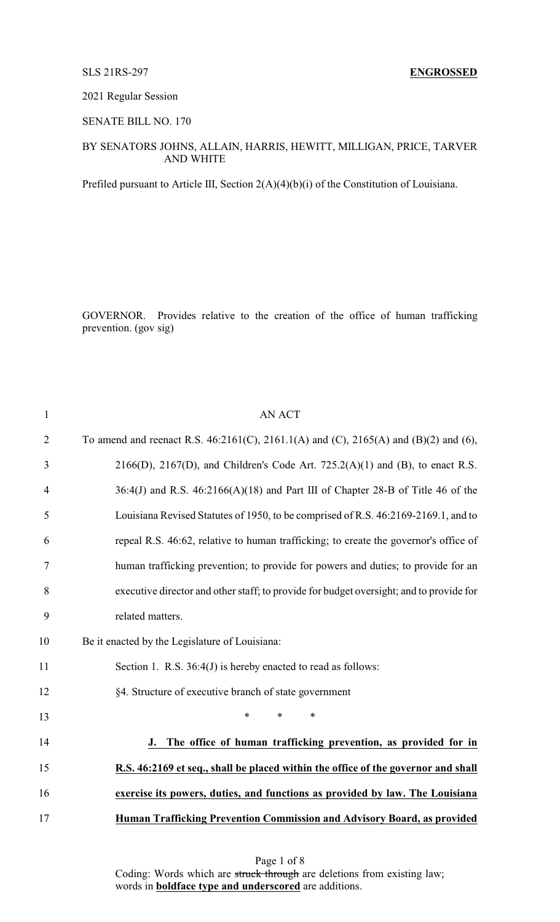SLS 21RS-297 **ENGROSSED**

2021 Regular Session

SENATE BILL NO. 170

### BY SENATORS JOHNS, ALLAIN, HARRIS, HEWITT, MILLIGAN, PRICE, TARVER AND WHITE

Prefiled pursuant to Article III, Section 2(A)(4)(b)(i) of the Constitution of Louisiana.

GOVERNOR. Provides relative to the creation of the office of human trafficking prevention. (gov sig)

| $\mathbf{1}$   | <b>AN ACT</b>                                                                               |
|----------------|---------------------------------------------------------------------------------------------|
| $\overline{2}$ | To amend and reenact R.S. $46:2161(C)$ , $2161.1(A)$ and (C), $2165(A)$ and (B)(2) and (6), |
| 3              | $2166(D)$ , $2167(D)$ , and Children's Code Art. $725.2(A)(1)$ and (B), to enact R.S.       |
| $\overline{4}$ | $36:4$ (J) and R.S. $46:2166$ (A)(18) and Part III of Chapter 28-B of Title 46 of the       |
| 5              | Louisiana Revised Statutes of 1950, to be comprised of R.S. 46:2169-2169.1, and to          |
| 6              | repeal R.S. 46:62, relative to human trafficking; to create the governor's office of        |
| 7              | human trafficking prevention; to provide for powers and duties; to provide for an           |
| 8              | executive director and other staff; to provide for budget oversight; and to provide for     |
| 9              | related matters.                                                                            |
| 10             | Be it enacted by the Legislature of Louisiana:                                              |
| 11             | Section 1. R.S. 36:4(J) is hereby enacted to read as follows:                               |
| 12             | §4. Structure of executive branch of state government                                       |
| 13             | $\ast$<br>$\ast$<br>$\ast$                                                                  |
| 14             | The office of human trafficking prevention, as provided for in<br>J.                        |
| 15             | R.S. 46:2169 et seq., shall be placed within the office of the governor and shall           |
| 16             | exercise its powers, duties, and functions as provided by law. The Louisiana                |
| 17             | Human Trafficking Prevention Commission and Advisory Board, as provided                     |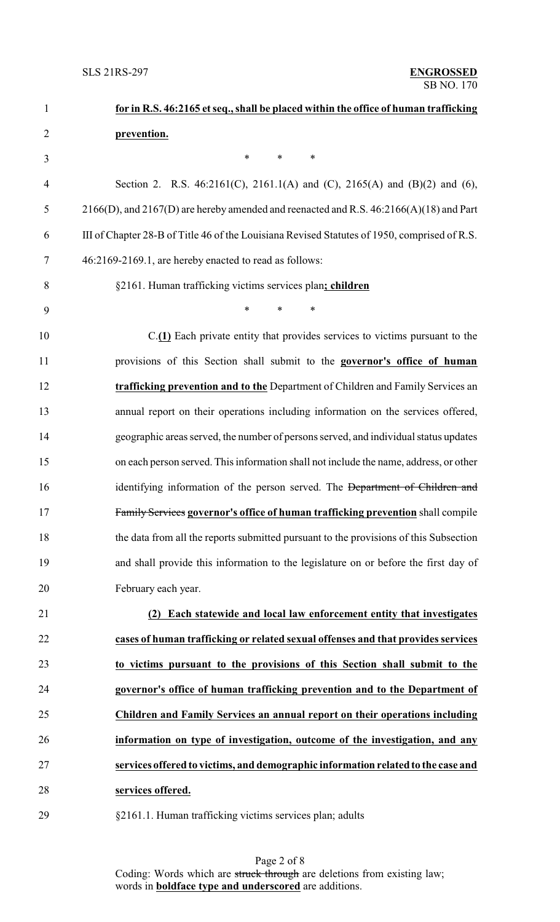| $\mathbf{1}$   | for in R.S. 46:2165 et seq., shall be placed within the office of human trafficking           |
|----------------|-----------------------------------------------------------------------------------------------|
| $\overline{2}$ | prevention.                                                                                   |
| 3              | $\ast$<br>$\ast$<br>$\ast$                                                                    |
| 4              | Section 2. R.S. 46:2161(C), 2161.1(A) and (C), 2165(A) and (B)(2) and (6),                    |
| 5              | $2166(D)$ , and $2167(D)$ are hereby amended and reenacted and R.S. $46:2166(A)(18)$ and Part |
| 6              | III of Chapter 28-B of Title 46 of the Louisiana Revised Statutes of 1950, comprised of R.S.  |
| 7              | 46:2169-2169.1, are hereby enacted to read as follows:                                        |
| 8              | §2161. Human trafficking victims services plan; children                                      |
| 9              | $\ast$<br>$\ast$<br>∗                                                                         |
| 10             | $C(\underline{1})$ Each private entity that provides services to victims pursuant to the      |
| 11             | provisions of this Section shall submit to the governor's office of human                     |
| 12             | trafficking prevention and to the Department of Children and Family Services an               |
| 13             | annual report on their operations including information on the services offered,              |
| 14             | geographic areas served, the number of persons served, and individual status updates          |
| 15             | on each person served. This information shall not include the name, address, or other         |
| 16             | identifying information of the person served. The Department of Children and                  |
| 17             | Family Services governor's office of human trafficking prevention shall compile               |
| 18             | the data from all the reports submitted pursuant to the provisions of this Subsection         |
| 19             | and shall provide this information to the legislature on or before the first day of           |
| 20             | February each year.                                                                           |
| 21             | Each statewide and local law enforcement entity that investigates<br>(2)                      |
| 22             | cases of human trafficking or related sexual offenses and that provides services              |
| 23             | to victims pursuant to the provisions of this Section shall submit to the                     |
| 24             | governor's office of human trafficking prevention and to the Department of                    |
| 25             | Children and Family Services an annual report on their operations including                   |
| 26             | information on type of investigation, outcome of the investigation, and any                   |
| 27             | services offered to victims, and demographic information related to the case and              |
| 28             | services offered.                                                                             |
| 29             | §2161.1. Human trafficking victims services plan; adults                                      |

Page 2 of 8 Coding: Words which are struck through are deletions from existing law; words in **boldface type and underscored** are additions.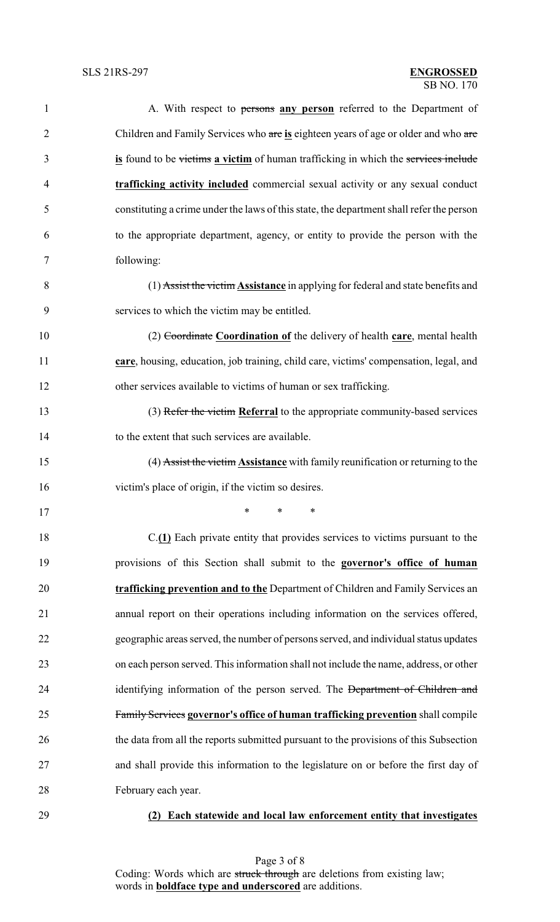| $\mathbf{1}$   | A. With respect to persons any person referred to the Department of                      |
|----------------|------------------------------------------------------------------------------------------|
| $\overline{c}$ | Children and Family Services who are is eighteen years of age or older and who are       |
| 3              | is found to be victims a victim of human trafficking in which the services include       |
| $\overline{4}$ | trafficking activity included commercial sexual activity or any sexual conduct           |
| 5              | constituting a crime under the laws of this state, the department shall refer the person |
| 6              | to the appropriate department, agency, or entity to provide the person with the          |
| 7              | following:                                                                               |
| 8              | (1) Assist the victim Assistance in applying for federal and state benefits and          |
| 9              | services to which the victim may be entitled.                                            |
| 10             | (2) Coordinate Coordination of the delivery of health care, mental health                |
| 11             | care, housing, education, job training, child care, victims' compensation, legal, and    |
| 12             | other services available to victims of human or sex trafficking.                         |
| 13             | (3) Refer the victim Referral to the appropriate community-based services                |
| 14             | to the extent that such services are available.                                          |
| 15             | (4) Assist the victim <b>Assistance</b> with family reunification or returning to the    |
| 16             | victim's place of origin, if the victim so desires.                                      |
| 17             | $*$ * *                                                                                  |
| 18             | $C(\underline{1})$ Each private entity that provides services to victims pursuant to the |
| 19             | provisions of this Section shall submit to the governor's office of human                |
| 20             | trafficking prevention and to the Department of Children and Family Services an          |
| 21             | annual report on their operations including information on the services offered,         |
| 22             | geographic areas served, the number of persons served, and individual status updates     |
| 23             | on each person served. This information shall not include the name, address, or other    |
| 24             | identifying information of the person served. The Department of Children and             |
| 25             | Family Services governor's office of human trafficking prevention shall compile          |
| 26             | the data from all the reports submitted pursuant to the provisions of this Subsection    |
| 27             | and shall provide this information to the legislature on or before the first day of      |
| 28             | February each year.                                                                      |
| 29             | Each statewide and local law enforcement entity that investigates<br>(2)                 |

Page 3 of 8 Coding: Words which are struck through are deletions from existing law; words in **boldface type and underscored** are additions.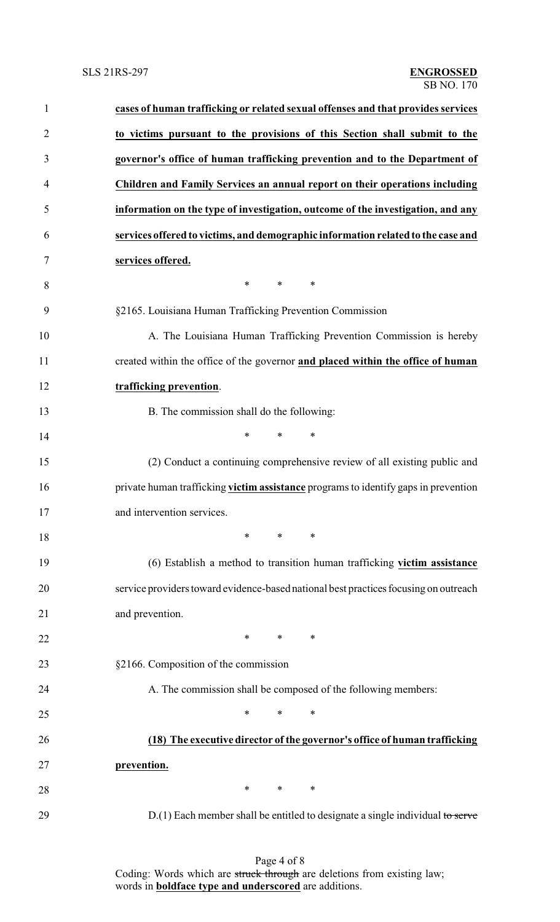| $\mathbf{1}$   | cases of human trafficking or related sexual offenses and that provides services     |
|----------------|--------------------------------------------------------------------------------------|
| $\overline{2}$ | to victims pursuant to the provisions of this Section shall submit to the            |
| 3              | governor's office of human trafficking prevention and to the Department of           |
| 4              | Children and Family Services an annual report on their operations including          |
| 5              | information on the type of investigation, outcome of the investigation, and any      |
| 6              | services offered to victims, and demographic information related to the case and     |
| 7              | services offered.                                                                    |
| 8              | $*$ and $*$<br>$\ast$<br>$\ast$                                                      |
| 9              | §2165. Louisiana Human Trafficking Prevention Commission                             |
| 10             | A. The Louisiana Human Trafficking Prevention Commission is hereby                   |
| 11             | created within the office of the governor and placed within the office of human      |
| 12             | trafficking prevention.                                                              |
| 13             | B. The commission shall do the following:                                            |
| 14             | $\ast$<br>$\ast$<br>∗                                                                |
| 15             | (2) Conduct a continuing comprehensive review of all existing public and             |
| 16             | private human trafficking victim assistance programs to identify gaps in prevention  |
| 17             | and intervention services.                                                           |
| 18             | $\ast$<br>$\ast$<br>∗                                                                |
| 19             | (6) Establish a method to transition human trafficking victim assistance             |
| 20             | service providers toward evidence-based national best practices focusing on outreach |
| 21             | and prevention.                                                                      |
| 22             | ∗<br>$\ast$<br>∗                                                                     |
| 23             | §2166. Composition of the commission                                                 |
| 24             | A. The commission shall be composed of the following members:                        |
| 25             | $\ast$<br>*<br>∗                                                                     |
| 26             | (18) The executive director of the governor's office of human trafficking            |
| 27             | prevention.                                                                          |
| 28             | $\ast$<br>$\ast$<br>∗                                                                |
| 29             | $D(1)$ Each member shall be entitled to designate a single individual to serve       |

Page 4 of 8 Coding: Words which are struck through are deletions from existing law; words in **boldface type and underscored** are additions.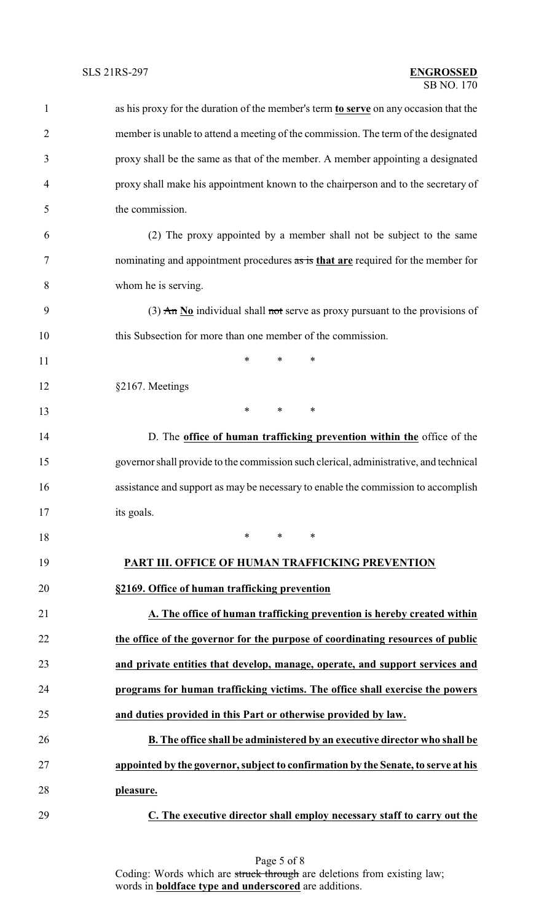| $\mathbf{1}$   | as his proxy for the duration of the member's term to serve on any occasion that the                 |
|----------------|------------------------------------------------------------------------------------------------------|
| $\overline{2}$ | member is unable to attend a meeting of the commission. The term of the designated                   |
| 3              | proxy shall be the same as that of the member. A member appointing a designated                      |
| $\overline{4}$ | proxy shall make his appointment known to the chairperson and to the secretary of                    |
| 5              | the commission.                                                                                      |
| 6              | (2) The proxy appointed by a member shall not be subject to the same                                 |
| 7              | nominating and appointment procedures as is that are required for the member for                     |
| 8              | whom he is serving.                                                                                  |
| 9              | (3) $\overline{An} \underline{No}$ individual shall not serve as proxy pursuant to the provisions of |
| 10             | this Subsection for more than one member of the commission.                                          |
| 11             | $\ast$<br>*<br>∗                                                                                     |
| 12             | §2167. Meetings                                                                                      |
| 13             | *<br>*<br>$\ast$                                                                                     |
| 14             | D. The office of human trafficking prevention within the office of the                               |
| 15             | governor shall provide to the commission such clerical, administrative, and technical                |
| 16             | assistance and support as may be necessary to enable the commission to accomplish                    |
| 17             | its goals.                                                                                           |
| 18             | $\ast$<br>$\ast$<br>∗                                                                                |
| 19             | PART III. OFFICE OF HUMAN TRAFFICKING PREVENTION                                                     |
| 20             | §2169. Office of human trafficking prevention                                                        |
| 21             | A. The office of human trafficking prevention is hereby created within                               |
| 22             | the office of the governor for the purpose of coordinating resources of public                       |
| 23             | and private entities that develop, manage, operate, and support services and                         |
| 24             | programs for human trafficking victims. The office shall exercise the powers                         |
| 25             | and duties provided in this Part or otherwise provided by law.                                       |
| 26             | B. The office shall be administered by an executive director who shall be                            |
| 27             | appointed by the governor, subject to confirmation by the Senate, to serve at his                    |
| 28             | pleasure.                                                                                            |
| 29             | C. The executive director shall employ necessary staff to carry out the                              |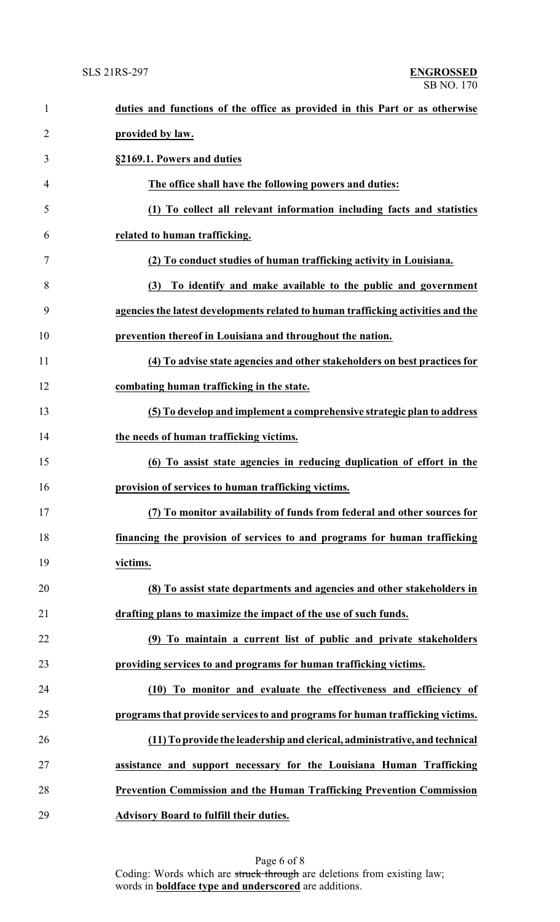| $\mathbf{1}$   | duties and functions of the office as provided in this Part or as otherwise      |
|----------------|----------------------------------------------------------------------------------|
| $\overline{2}$ | provided by law.                                                                 |
| 3              | §2169.1. Powers and duties                                                       |
| 4              | The office shall have the following powers and duties:                           |
| 5              | (1) To collect all relevant information including facts and statistics           |
| 6              | related to human trafficking.                                                    |
| 7              | (2) To conduct studies of human trafficking activity in Louisiana.               |
| 8              | (3) To identify and make available to the public and government                  |
| 9              | agencies the latest developments related to human trafficking activities and the |
| 10             | prevention thereof in Louisiana and throughout the nation.                       |
| 11             | (4) To advise state agencies and other stakeholders on best practices for        |
| 12             | combating human trafficking in the state.                                        |
| 13             | (5) To develop and implement a comprehensive strategic plan to address           |
| 14             | the needs of human trafficking victims.                                          |
| 15             | (6) To assist state agencies in reducing duplication of effort in the            |
| 16             | provision of services to human trafficking victims.                              |
| 17             | (7) To monitor availability of funds from federal and other sources for          |
| 18             | financing the provision of services to and programs for human trafficking        |
| 19             | victims.                                                                         |
| 20             | (8) To assist state departments and agencies and other stakeholders in           |
| 21             | drafting plans to maximize the impact of the use of such funds.                  |
| 22             | (9) To maintain a current list of public and private stakeholders                |
| 23             | providing services to and programs for human trafficking victims.                |
| 24             | (10) To monitor and evaluate the effectiveness and efficiency of                 |
| 25             | programs that provide services to and programs for human trafficking victims.    |
| 26             | (11) To provide the leadership and clerical, administrative, and technical       |
| 27             | assistance and support necessary for the Louisiana Human Trafficking             |
| 28             | <b>Prevention Commission and the Human Trafficking Prevention Commission</b>     |
| 29             | <b>Advisory Board to fulfill their duties.</b>                                   |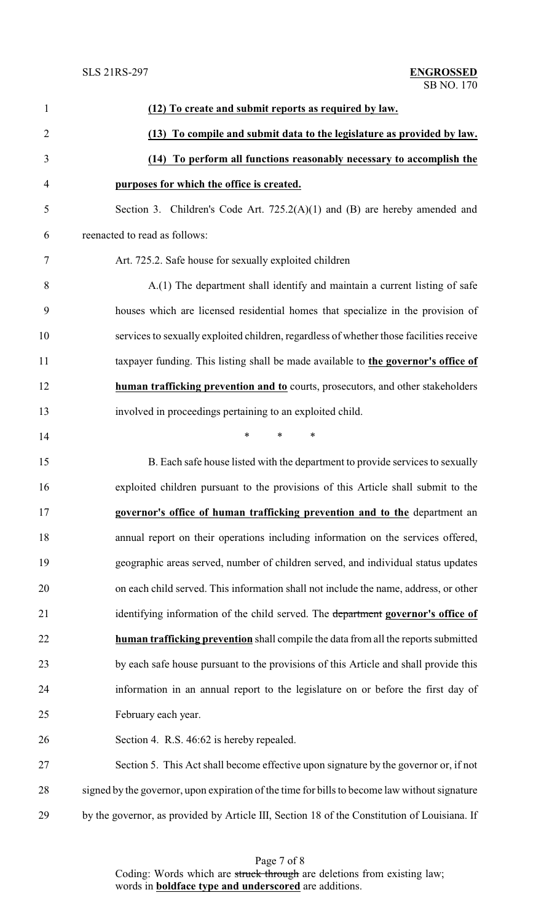| $\mathbf{1}$   | (12) To create and submit reports as required by law.                                         |
|----------------|-----------------------------------------------------------------------------------------------|
| $\overline{2}$ | (13) To compile and submit data to the legislature as provided by law.                        |
| 3              | (14) To perform all functions reasonably necessary to accomplish the                          |
| $\overline{4}$ | purposes for which the office is created.                                                     |
| 5              | Section 3. Children's Code Art. $725.2(A)(1)$ and (B) are hereby amended and                  |
| 6              | reenacted to read as follows:                                                                 |
| 7              | Art. 725.2. Safe house for sexually exploited children                                        |
| 8              | A.(1) The department shall identify and maintain a current listing of safe                    |
| 9              | houses which are licensed residential homes that specialize in the provision of               |
| 10             | services to sexually exploited children, regardless of whether those facilities receive       |
| 11             | taxpayer funding. This listing shall be made available to the governor's office of            |
| 12             | human trafficking prevention and to courts, prosecutors, and other stakeholders               |
| 13             | involved in proceedings pertaining to an exploited child.                                     |
| 14             | *<br>$\ast$<br>$\ast$                                                                         |
| 15             | B. Each safe house listed with the department to provide services to sexually                 |
| 16             | exploited children pursuant to the provisions of this Article shall submit to the             |
| 17             | governor's office of human trafficking prevention and to the department an                    |
| 18             | annual report on their operations including information on the services offered,              |
| 19             | geographic areas served, number of children served, and individual status updates             |
| 20             | on each child served. This information shall not include the name, address, or other          |
| 21             | identifying information of the child served. The department governor's office of              |
| 22             | human trafficking prevention shall compile the data from all the reports submitted            |
| 23             | by each safe house pursuant to the provisions of this Article and shall provide this          |
| 24             | information in an annual report to the legislature on or before the first day of              |
| 25             | February each year.                                                                           |
| 26             | Section 4. R.S. 46:62 is hereby repealed.                                                     |
| 27             | Section 5. This Act shall become effective upon signature by the governor or, if not          |
| 28             | signed by the governor, upon expiration of the time for bills to become law without signature |
| 29             | by the governor, as provided by Article III, Section 18 of the Constitution of Louisiana. If  |